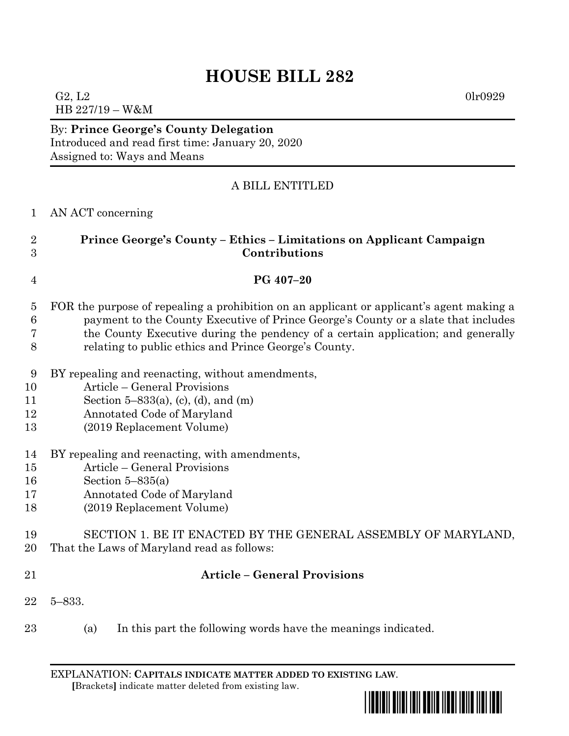# **HOUSE BILL 282**

G2, L2 0lr0929 HB 227/19 – W&M

By: **Prince George's County Delegation** Introduced and read first time: January 20, 2020 Assigned to: Ways and Means

## A BILL ENTITLED

## AN ACT concerning

## **Prince George's County – Ethics – Limitations on Applicant Campaign Contributions**

#### **PG 407–20**

- FOR the purpose of repealing a prohibition on an applicant or applicant's agent making a payment to the County Executive of Prince George's County or a slate that includes the County Executive during the pendency of a certain application; and generally
- relating to public ethics and Prince George's County.
- BY repealing and reenacting, without amendments,
- Article General Provisions
- Section 5–833(a), (c), (d), and (m)
- Annotated Code of Maryland
- (2019 Replacement Volume)
- BY repealing and reenacting, with amendments,
- Article General Provisions
- Section 5–835(a)
- Annotated Code of Maryland
- (2019 Replacement Volume)

#### SECTION 1. BE IT ENACTED BY THE GENERAL ASSEMBLY OF MARYLAND, That the Laws of Maryland read as follows:

### **Article – General Provisions**

- 5–833.
- (a) In this part the following words have the meanings indicated.

EXPLANATION: **CAPITALS INDICATE MATTER ADDED TO EXISTING LAW**.  **[**Brackets**]** indicate matter deleted from existing law.

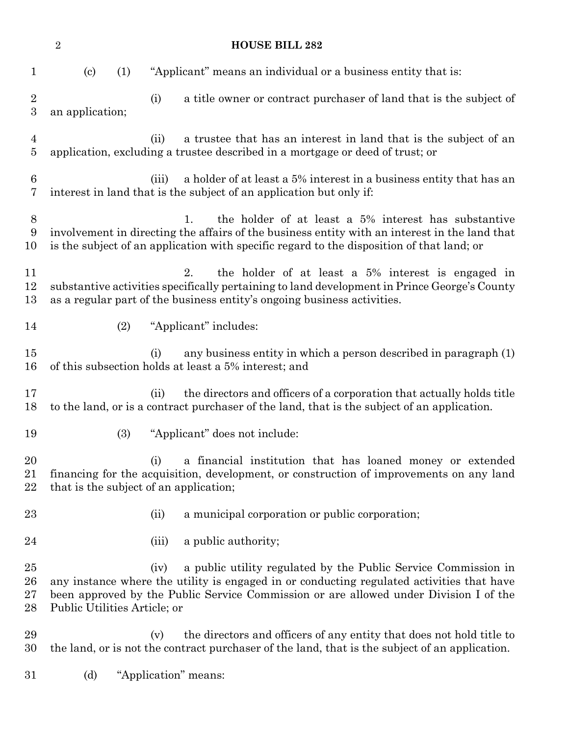**HOUSE BILL 282** (c) (1) "Applicant" means an individual or a business entity that is: (i) a title owner or contract purchaser of land that is the subject of an application; (ii) a trustee that has an interest in land that is the subject of an application, excluding a trustee described in a mortgage or deed of trust; or (iii) a holder of at least a 5% interest in a business entity that has an interest in land that is the subject of an application but only if: 1. the holder of at least a 5% interest has substantive involvement in directing the affairs of the business entity with an interest in the land that is the subject of an application with specific regard to the disposition of that land; or 2. the holder of at least a 5% interest is engaged in substantive activities specifically pertaining to land development in Prince George's County as a regular part of the business entity's ongoing business activities. (2) "Applicant" includes: (i) any business entity in which a person described in paragraph (1) of this subsection holds at least a 5% interest; and (ii) the directors and officers of a corporation that actually holds title to the land, or is a contract purchaser of the land, that is the subject of an application. (3) "Applicant" does not include: (i) a financial institution that has loaned money or extended financing for the acquisition, development, or construction of improvements on any land that is the subject of an application; 23 (ii) a municipal corporation or public corporation; 24 (iii) a public authority; (iv) a public utility regulated by the Public Service Commission in any instance where the utility is engaged in or conducting regulated activities that have been approved by the Public Service Commission or are allowed under Division I of the Public Utilities Article; or (v) the directors and officers of any entity that does not hold title to the land, or is not the contract purchaser of the land, that is the subject of an application. (d) "Application" means: